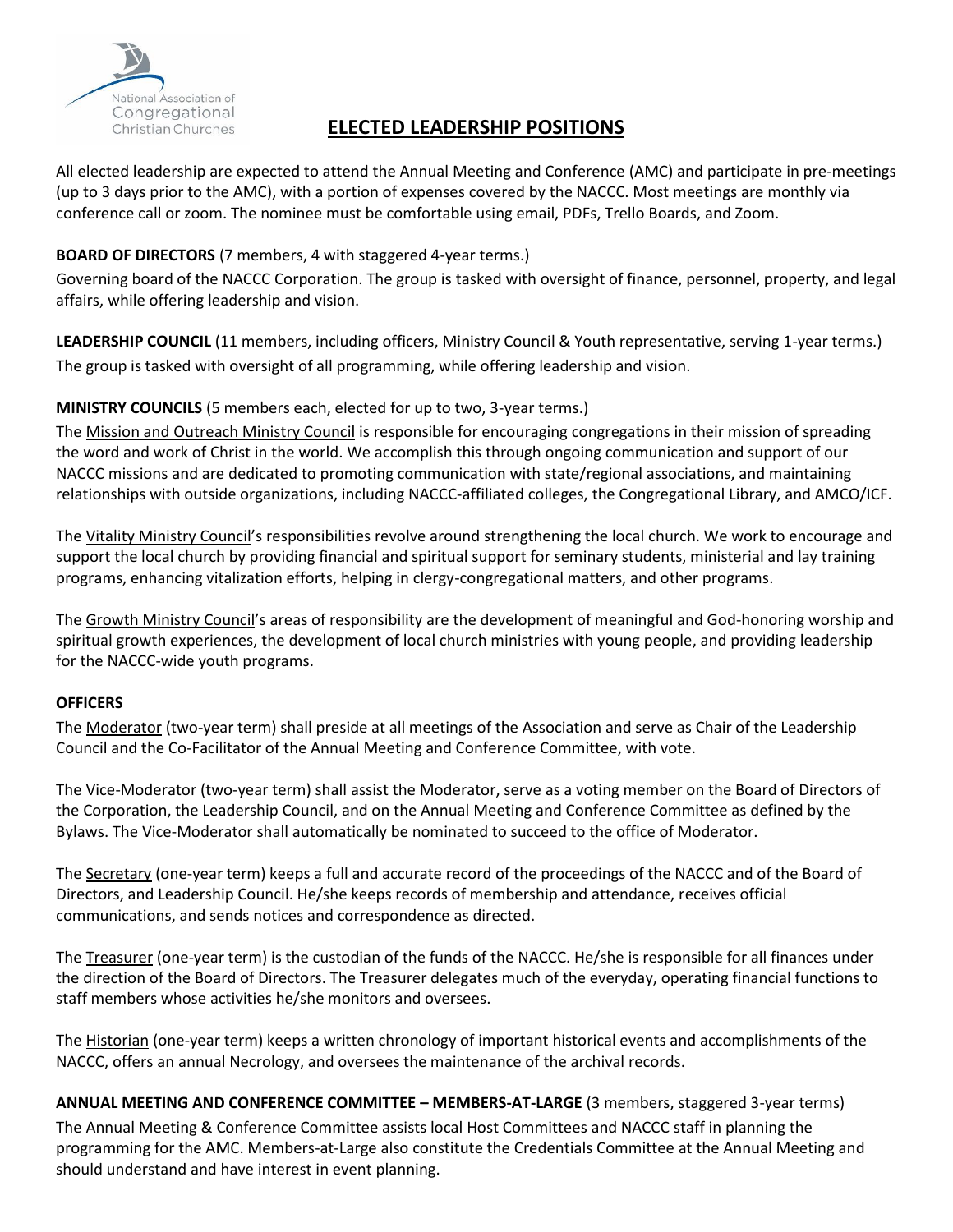

## **ELECTED LEADERSHIP POSITIONS**

All elected leadership are expected to attend the Annual Meeting and Conference (AMC) and participate in pre-meetings (up to 3 days prior to the AMC), with a portion of expenses covered by the NACCC. Most meetings are monthly via conference call or zoom. The nominee must be comfortable using email, PDFs, Trello Boards, and Zoom.

### **BOARD OF DIRECTORS** (7 members, 4 with staggered 4-year terms.)

Governing board of the NACCC Corporation. The group is tasked with oversight of finance, personnel, property, and legal affairs, while offering leadership and vision.

**LEADERSHIP COUNCIL** (11 members, including officers, Ministry Council & Youth representative, serving 1-year terms.) The group is tasked with oversight of all programming, while offering leadership and vision.

### **MINISTRY COUNCILS** (5 members each, elected for up to two, 3-year terms.)

The Mission and Outreach Ministry Council is responsible for encouraging congregations in their mission of spreading the word and work of Christ in the world. We accomplish this through ongoing communication and support of our NACCC missions and are dedicated to promoting communication with state/regional associations, and maintaining relationships with outside organizations, including NACCC-affiliated colleges, the Congregational Library, and AMCO/ICF.

The Vitality Ministry Council's responsibilities revolve around strengthening the local church. We work to encourage and support the local church by providing financial and spiritual support for seminary students, ministerial and lay training programs, enhancing vitalization efforts, helping in clergy-congregational matters, and other programs.

The Growth Ministry Council's areas of responsibility are the development of meaningful and God-honoring worship and spiritual growth experiences, the development of local church ministries with young people, and providing leadership for the NACCC-wide youth programs.

#### **OFFICERS**

The Moderator (two-year term) shall preside at all meetings of the Association and serve as Chair of the Leadership Council and the Co-Facilitator of the Annual Meeting and Conference Committee, with vote.

The Vice-Moderator (two-year term) shall assist the Moderator, serve as a voting member on the Board of Directors of the Corporation, the Leadership Council, and on the Annual Meeting and Conference Committee as defined by the Bylaws. The Vice-Moderator shall automatically be nominated to succeed to the office of Moderator.

The Secretary (one-year term) keeps a full and accurate record of the proceedings of the NACCC and of the Board of Directors, and Leadership Council. He/she keeps records of membership and attendance, receives official communications, and sends notices and correspondence as directed.

The Treasurer (one-year term) is the custodian of the funds of the NACCC. He/she is responsible for all finances under the direction of the Board of Directors. The Treasurer delegates much of the everyday, operating financial functions to staff members whose activities he/she monitors and oversees.

The Historian (one-year term) keeps a written chronology of important historical events and accomplishments of the NACCC, offers an annual Necrology, and oversees the maintenance of the archival records.

**ANNUAL MEETING AND CONFERENCE COMMITTEE – MEMBERS-AT-LARGE** (3 members, staggered 3-year terms) The Annual Meeting & Conference Committee assists local Host Committees and NACCC staff in planning the programming for the AMC. Members-at-Large also constitute the Credentials Committee at the Annual Meeting and should understand and have interest in event planning.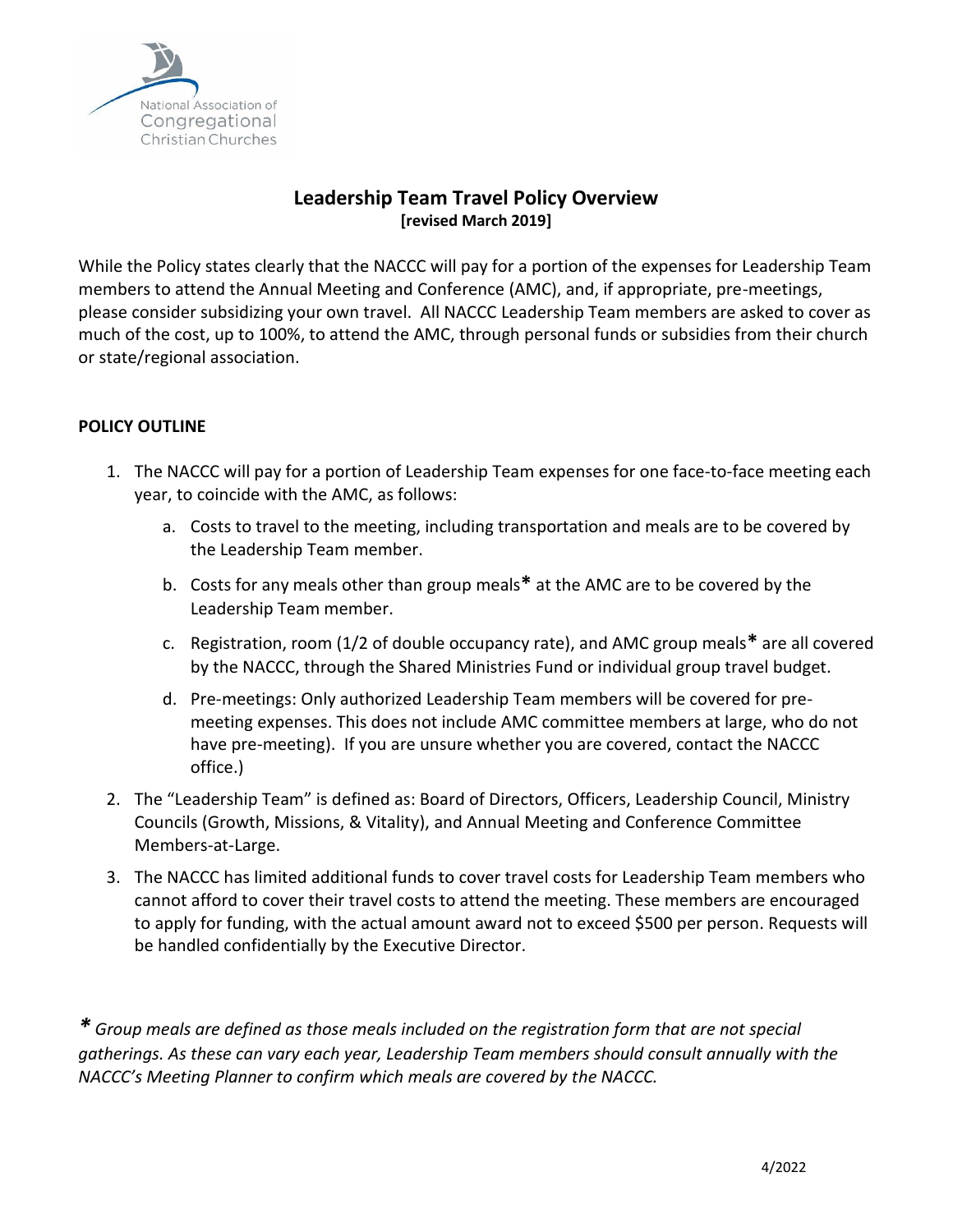

## **Leadership Team Travel Policy Overview [revised March 2019]**

While the Policy states clearly that the NACCC will pay for a portion of the expenses for Leadership Team members to attend the Annual Meeting and Conference (AMC), and, if appropriate, pre-meetings, please consider subsidizing your own travel. All NACCC Leadership Team members are asked to cover as much of the cost, up to 100%, to attend the AMC, through personal funds or subsidies from their church or state/regional association.

## **POLICY OUTLINE**

- 1. The NACCC will pay for a portion of Leadership Team expenses for one face-to-face meeting each year, to coincide with the AMC, as follows:
	- a. Costs to travel to the meeting, including transportation and meals are to be covered by the Leadership Team member.
	- b. Costs for any meals other than group meals**\*** at the AMC are to be covered by the Leadership Team member.
	- c. Registration, room (1/2 of double occupancy rate), and AMC group meals**\*** are all covered by the NACCC, through the Shared Ministries Fund or individual group travel budget.
	- d. Pre-meetings: Only authorized Leadership Team members will be covered for premeeting expenses. This does not include AMC committee members at large, who do not have pre-meeting). If you are unsure whether you are covered, contact the NACCC office.)
- 2. The "Leadership Team" is defined as: Board of Directors, Officers, Leadership Council, Ministry Councils (Growth, Missions, & Vitality), and Annual Meeting and Conference Committee Members-at-Large.
- 3. The NACCC has limited additional funds to cover travel costs for Leadership Team members who cannot afford to cover their travel costs to attend the meeting. These members are encouraged to apply for funding, with the actual amount award not to exceed \$500 per person. Requests will be handled confidentially by the Executive Director.

*\* Group meals are defined as those meals included on the registration form that are not special gatherings. As these can vary each year, Leadership Team members should consult annually with the NACCC's Meeting Planner to confirm which meals are covered by the NACCC.*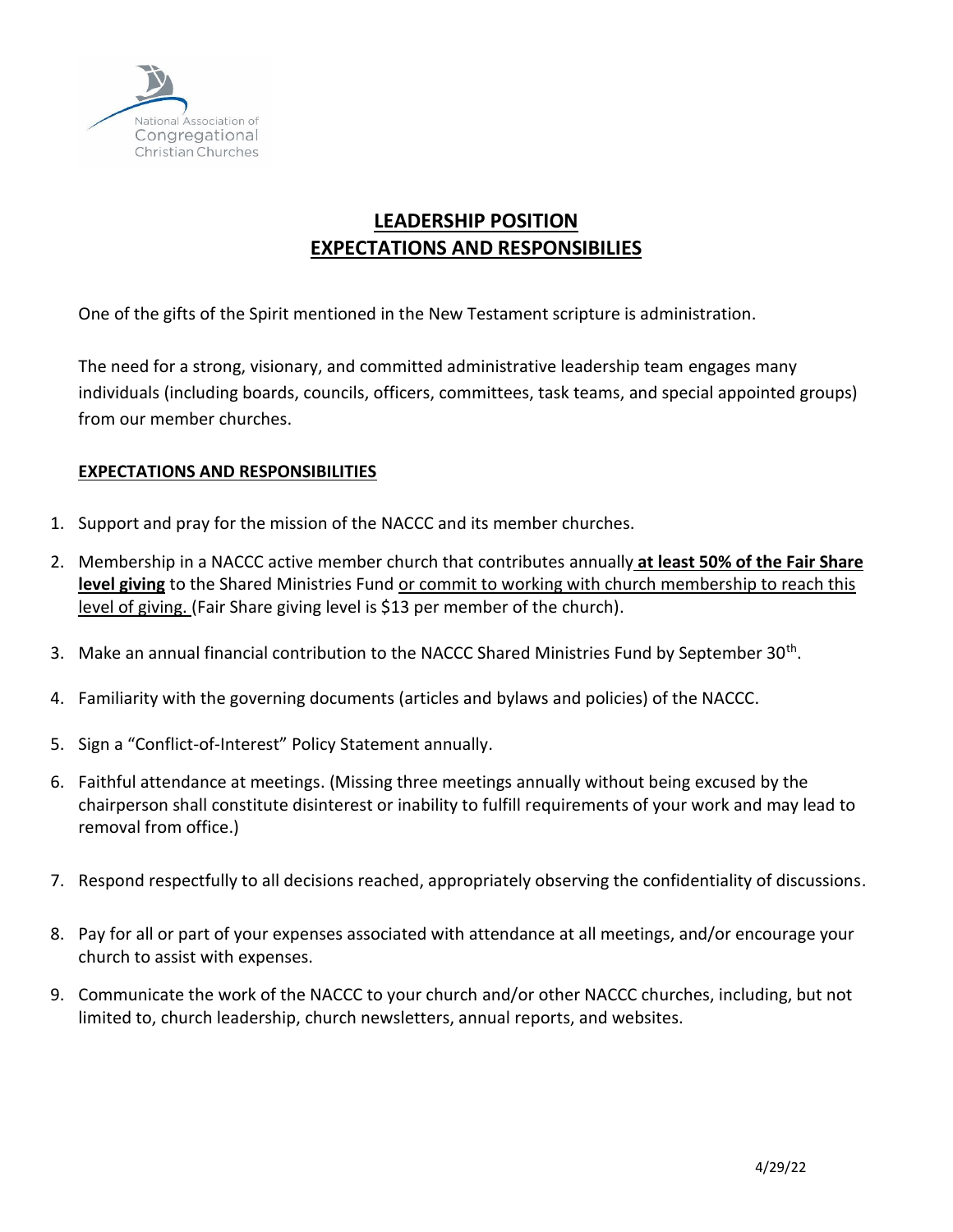

# **LEADERSHIP POSITION EXPECTATIONS AND RESPONSIBILIES**

One of the gifts of the Spirit mentioned in the New Testament scripture is administration.

The need for a strong, visionary, and committed administrative leadership team engages many individuals (including boards, councils, officers, committees, task teams, and special appointed groups) from our member churches.

## **EXPECTATIONS AND RESPONSIBILITIES**

- 1. Support and pray for the mission of the NACCC and its member churches.
- 2. Membership in a NACCC active member church that contributes annually **at least 50% of the Fair Share level giving** to the Shared Ministries Fund or commit to working with church membership to reach this level of giving. (Fair Share giving level is \$13 per member of the church).
- 3. Make an annual financial contribution to the NACCC Shared Ministries Fund by September 30<sup>th</sup>.
- 4. Familiarity with the governing documents (articles and bylaws and policies) of the NACCC.
- 5. Sign a "Conflict-of-Interest" Policy Statement annually.
- 6. Faithful attendance at meetings. (Missing three meetings annually without being excused by the chairperson shall constitute disinterest or inability to fulfill requirements of your work and may lead to removal from office.)
- 7. Respond respectfully to all decisions reached, appropriately observing the confidentiality of discussions.
- 8. Pay for all or part of your expenses associated with attendance at all meetings, and/or encourage your church to assist with expenses.
- 9. Communicate the work of the NACCC to your church and/or other NACCC churches, including, but not limited to, church leadership, church newsletters, annual reports, and websites.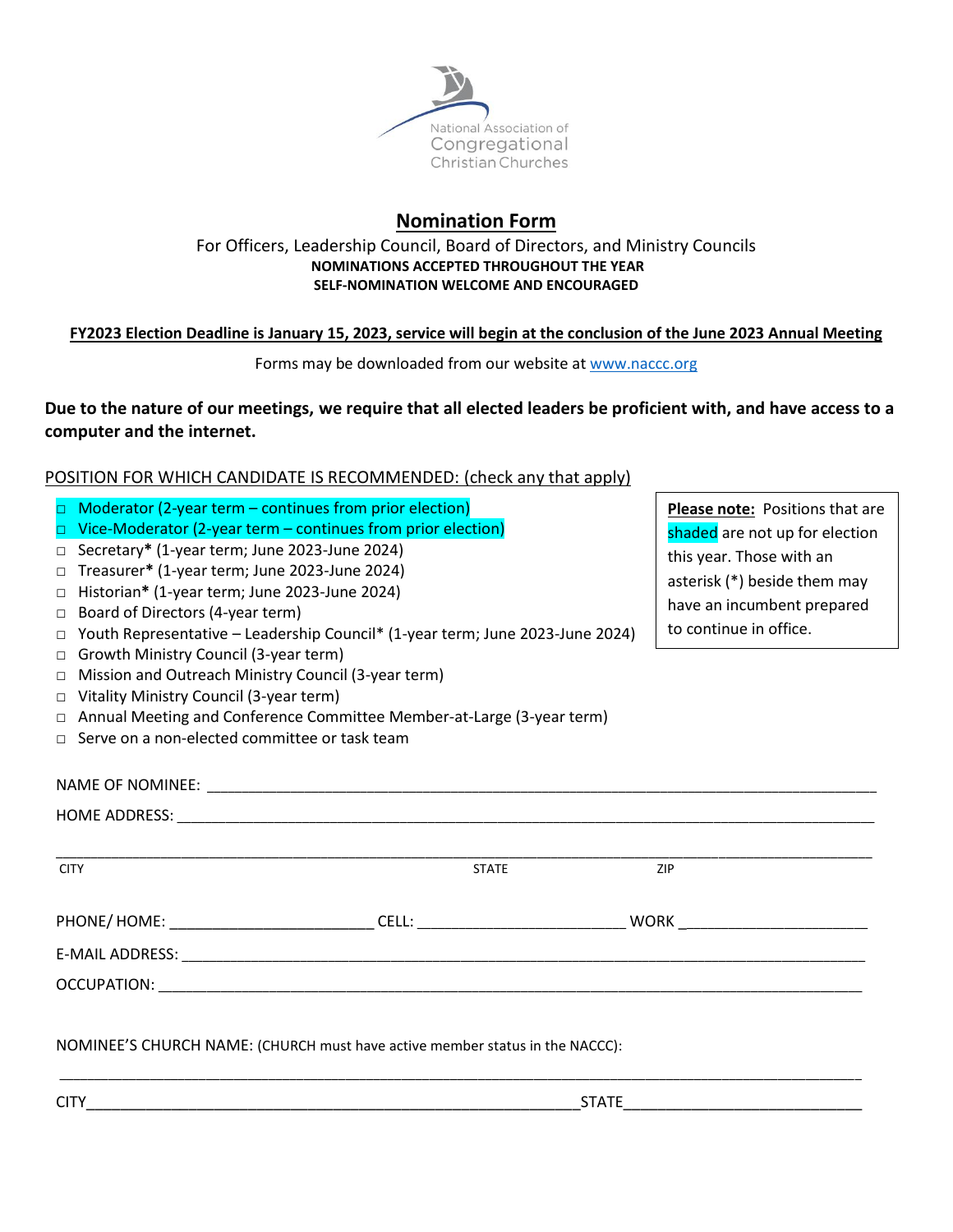

# **Nomination Form**

#### For Officers, Leadership Council, Board of Directors, and Ministry Councils **NOMINATIONS ACCEPTED THROUGHOUT THE YEAR SELF-NOMINATION WELCOME AND ENCOURAGED**

### **FY2023 Election Deadline is January 15, 2023, service will begin at the conclusion of the June 2023 Annual Meeting**

Forms may be downloaded from our website at [www.naccc.org](http://www.naccc.org/)

## **Due to the nature of our meetings, we require that all elected leaders be proficient with, and have access to a computer and the internet.**

### POSITION FOR WHICH CANDIDATE IS RECOMMENDED: (check any that apply)

| $\Box$<br>$\Box$<br>$\Box$<br>$\Box$<br>$\Box$<br>$\Box$<br>□                | Moderator (2-year term - continues from prior election)<br>$\Box$ Vice-Moderator (2-year term – continues from prior election)<br>□ Secretary* (1-year term; June 2023-June 2024)<br>Treasurer* (1-year term; June 2023-June 2024)<br>Historian* (1-year term; June 2023-June 2024)<br>Board of Directors (4-year term)<br>Youth Representative - Leadership Council* (1-year term; June 2023-June 2024)<br>Growth Ministry Council (3-year term)<br>Mission and Outreach Ministry Council (3-year term) | Please note: Positions that are<br>shaded are not up for election<br>this year. Those with an<br>asterisk (*) beside them may<br>have an incumbent prepared<br>to continue in office. |  |
|------------------------------------------------------------------------------|----------------------------------------------------------------------------------------------------------------------------------------------------------------------------------------------------------------------------------------------------------------------------------------------------------------------------------------------------------------------------------------------------------------------------------------------------------------------------------------------------------|---------------------------------------------------------------------------------------------------------------------------------------------------------------------------------------|--|
| $\Box$                                                                       | Vitality Ministry Council (3-year term)                                                                                                                                                                                                                                                                                                                                                                                                                                                                  |                                                                                                                                                                                       |  |
| $\Box$                                                                       | Annual Meeting and Conference Committee Member-at-Large (3-year term)                                                                                                                                                                                                                                                                                                                                                                                                                                    |                                                                                                                                                                                       |  |
|                                                                              | $\Box$ Serve on a non-elected committee or task team                                                                                                                                                                                                                                                                                                                                                                                                                                                     |                                                                                                                                                                                       |  |
|                                                                              |                                                                                                                                                                                                                                                                                                                                                                                                                                                                                                          |                                                                                                                                                                                       |  |
| <b>CITY</b>                                                                  | <b>STATE</b>                                                                                                                                                                                                                                                                                                                                                                                                                                                                                             | ZIP                                                                                                                                                                                   |  |
|                                                                              |                                                                                                                                                                                                                                                                                                                                                                                                                                                                                                          |                                                                                                                                                                                       |  |
|                                                                              |                                                                                                                                                                                                                                                                                                                                                                                                                                                                                                          |                                                                                                                                                                                       |  |
|                                                                              |                                                                                                                                                                                                                                                                                                                                                                                                                                                                                                          |                                                                                                                                                                                       |  |
| NOMINEE'S CHURCH NAME: (CHURCH must have active member status in the NACCC): |                                                                                                                                                                                                                                                                                                                                                                                                                                                                                                          |                                                                                                                                                                                       |  |

CITY\_\_\_\_\_\_\_\_\_\_\_\_\_\_\_\_\_\_\_\_\_\_\_\_\_\_\_\_\_\_\_\_\_\_\_\_\_\_\_\_\_\_\_\_\_\_\_\_\_\_\_\_\_\_\_\_\_\_STATE\_\_\_\_\_\_\_\_\_\_\_\_\_\_\_\_\_\_\_\_\_\_\_\_\_\_\_\_